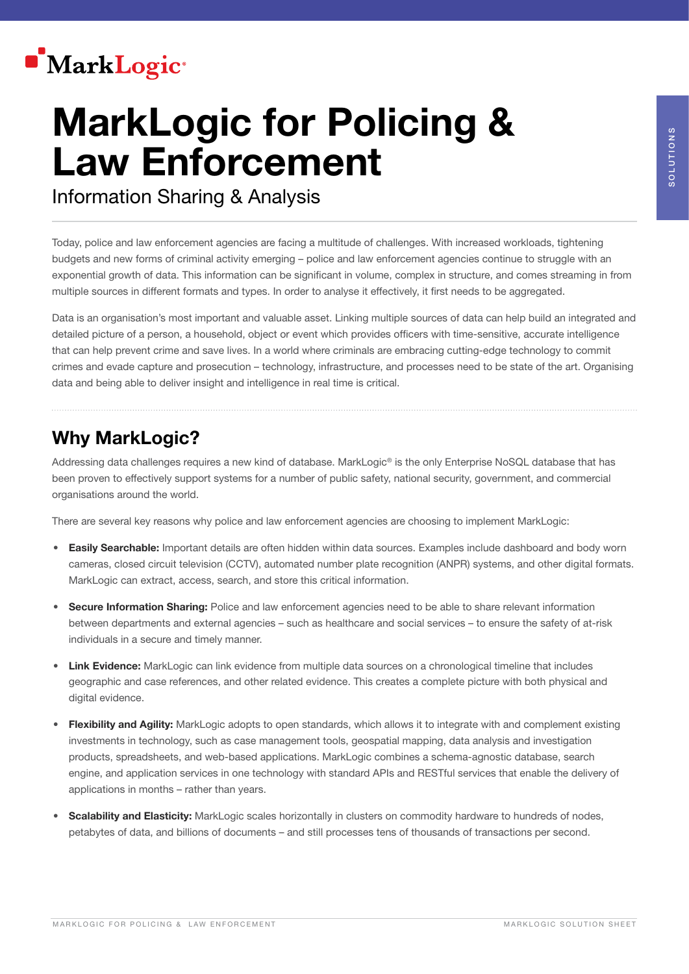

# MarkLogic for Policing & Law Enforcement

Information Sharing & Analysis

Today, police and law enforcement agencies are facing a multitude of challenges. With increased workloads, tightening budgets and new forms of criminal activity emerging – police and law enforcement agencies continue to struggle with an exponential growth of data. This information can be significant in volume, complex in structure, and comes streaming in from multiple sources in different formats and types. In order to analyse it effectively, it first needs to be aggregated.

Data is an organisation's most important and valuable asset. Linking multiple sources of data can help build an integrated and detailed picture of a person, a household, object or event which provides officers with time-sensitive, accurate intelligence that can help prevent crime and save lives. In a world where criminals are embracing cutting-edge technology to commit crimes and evade capture and prosecution – technology, infrastructure, and processes need to be state of the art. Organising data and being able to deliver insight and intelligence in real time is critical.

### Why MarkLogic?

Addressing data challenges requires a new kind of database. MarkLogic® is the only Enterprise NoSQL database that has been proven to effectively support systems for a number of public safety, national security, government, and commercial organisations around the world.

There are several key reasons why police and law enforcement agencies are choosing to implement MarkLogic:

- **Easily Searchable:** Important details are often hidden within data sources. Examples include dashboard and body worn cameras, closed circuit television (CCTV), automated number plate recognition (ANPR) systems, and other digital formats. MarkLogic can extract, access, search, and store this critical information.
- **Secure Information Sharing:** Police and law enforcement agencies need to be able to share relevant information between departments and external agencies – such as healthcare and social services – to ensure the safety of at-risk individuals in a secure and timely manner.
- **Link Evidence:** MarkLogic can link evidence from multiple data sources on a chronological timeline that includes geographic and case references, and other related evidence. This creates a complete picture with both physical and digital evidence.
- Flexibility and Agility: MarkLogic adopts to open standards, which allows it to integrate with and complement existing investments in technology, such as case management tools, geospatial mapping, data analysis and investigation products, spreadsheets, and web-based applications. MarkLogic combines a schema-agnostic database, search engine, and application services in one technology with standard APIs and RESTful services that enable the delivery of applications in months – rather than years.
- **Scalability and Elasticity:** MarkLogic scales horizontally in clusters on commodity hardware to hundreds of nodes, petabytes of data, and billions of documents – and still processes tens of thousands of transactions per second.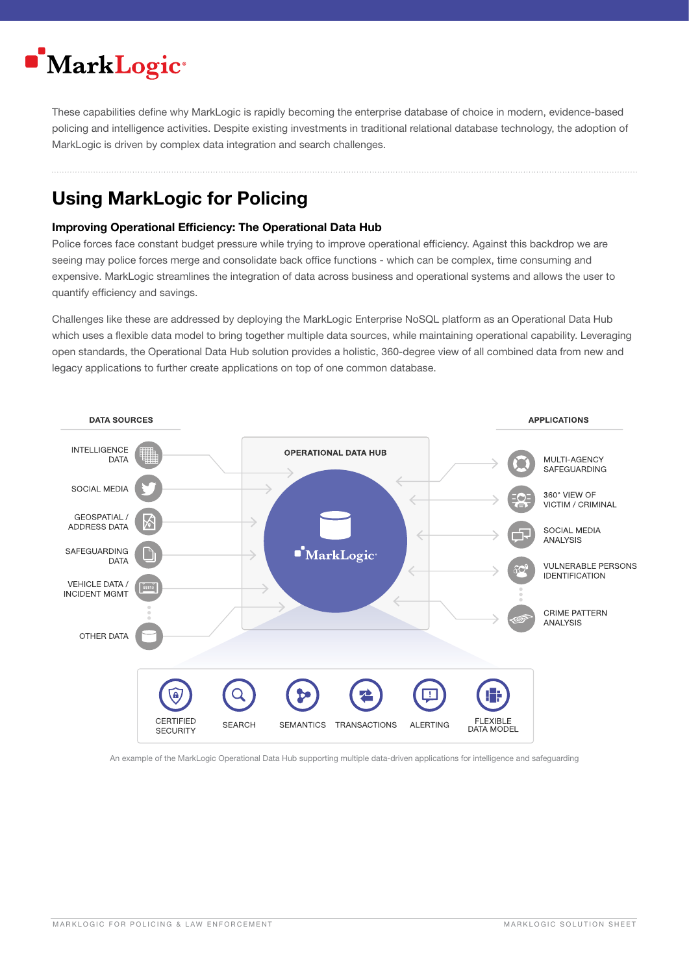## MarkLogic<sup>®</sup>

These capabilities define why MarkLogic is rapidly becoming the enterprise database of choice in modern, evidence-based policing and intelligence activities. Despite existing investments in traditional relational database technology, the adoption of MarkLogic is driven by complex data integration and search challenges.

## Using MarkLogic for Policing

#### Improving Operational Efficiency: The Operational Data Hub

Police forces face constant budget pressure while trying to improve operational efficiency. Against this backdrop we are seeing may police forces merge and consolidate back office functions - which can be complex, time consuming and expensive. MarkLogic streamlines the integration of data across business and operational systems and allows the user to quantify efficiency and savings.

Challenges like these are addressed by deploying the MarkLogic Enterprise NoSQL platform as an Operational Data Hub which uses a flexible data model to bring together multiple data sources, while maintaining operational capability. Leveraging open standards, the Operational Data Hub solution provides a holistic, 360-degree view of all combined data from new and legacy applications to further create applications on top of one common database.



An example of the MarkLogic Operational Data Hub supporting multiple data-driven applications for intelligence and safeguarding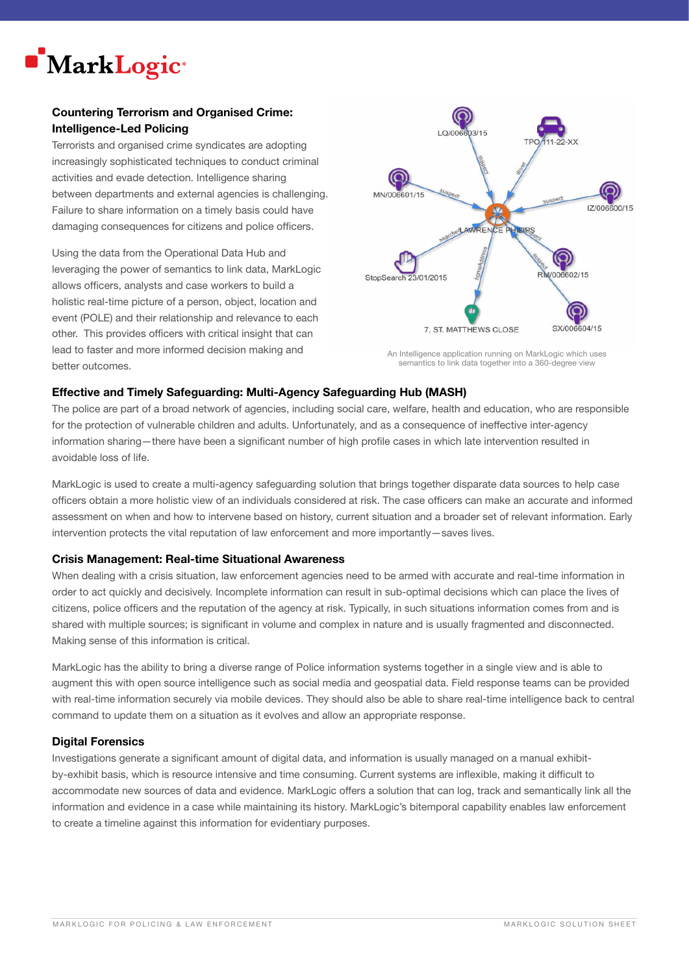

#### Countering Terrorism and Organised Crime: Intelligence-Led Policing

Terrorists and organised crime syndicates are adopting increasingly sophisticated techniques to conduct criminal activities and evade detection. Intelligence sharing between departments and external agencies is challenging. Failure to share information on a timely basis could have damaging consequences for citizens and police officers.

Using the data from the Operational Data Hub and leveraging the power of semantics to link data, MarkLogic allows officers, analysts and case workers to build a holistic real-time picture of a person, object, location and event (POLE) and their relationship and relevance to each other. This provides officers with critical insight that can lead to faster and more informed decision making and better outcomes.



An Intelligence application running on MarkLogic which uses semantics to link data together into a 360-degree view

#### Effective and Timely Safeguarding: Multi-Agency Safeguarding Hub (MASH)

The police are part of a broad network of agencies, including social care, welfare, health and education, who are responsible for the protection of vulnerable children and adults. Unfortunately, and as a consequence of ineffective inter-agency information sharing—there have been a significant number of high profile cases in which late intervention resulted in avoidable loss of life.

MarkLogic is used to create a multi-agency safeguarding solution that brings together disparate data sources to help case officers obtain a more holistic view of an individuals considered at risk. The case officers can make an accurate and informed assessment on when and how to intervene based on history, current situation and a broader set of relevant information. Early intervention protects the vital reputation of law enforcement and more importantly—saves lives.

#### Crisis Management: Real-time Situational Awareness

When dealing with a crisis situation, law enforcement agencies need to be armed with accurate and real-time information in order to act quickly and decisively. Incomplete information can result in sub-optimal decisions which can place the lives of citizens, police officers and the reputation of the agency at risk. Typically, in such situations information comes from and is shared with multiple sources; is significant in volume and complex in nature and is usually fragmented and disconnected. Making sense of this information is critical.

MarkLogic has the ability to bring a diverse range of Police information systems together in a single view and is able to augment this with open source intelligence such as social media and geospatial data. Field response teams can be provided with real-time information securely via mobile devices. They should also be able to share real-time intelligence back to central command to update them on a situation as it evolves and allow an appropriate response.

#### Digital Forensics

Investigations generate a significant amount of digital data, and information is usually managed on a manual exhibitby-exhibit basis, which is resource intensive and time consuming. Current systems are inflexible, making it difficult to accommodate new sources of data and evidence. MarkLogic offers a solution that can log, track and semantically link all the information and evidence in a case while maintaining its history. MarkLogic's bitemporal capability enables law enforcement to create a timeline against this information for evidentiary purposes.